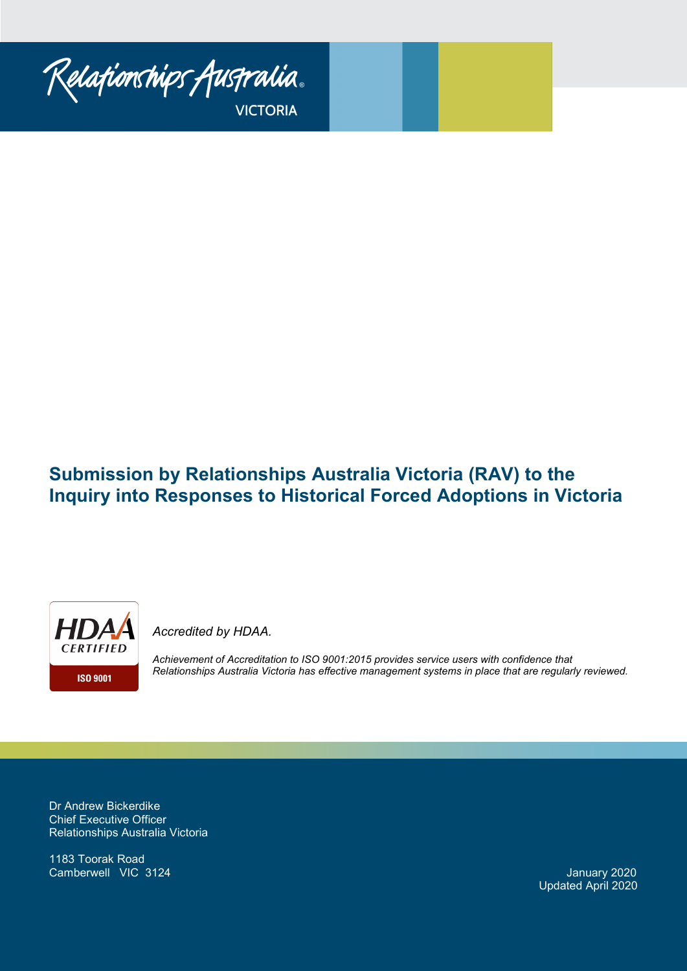

# **Submission by Relationships Australia Victoria (RAV) to the Inquiry into Responses to Historical Forced Adoptions in Victoria**



*Accredited by HDAA.* 

*Achievement of Accreditation to ISO 9001:2015 provides service users with confidence that Relationships Australia Victoria has effective management systems in place that are regularly reviewed.*

Dr Andrew Bickerdike Chief Executive Officer Relationships Australia Victoria

1183 Toorak Road **Camberwell VIC 3124** January 2020

Updated April 2020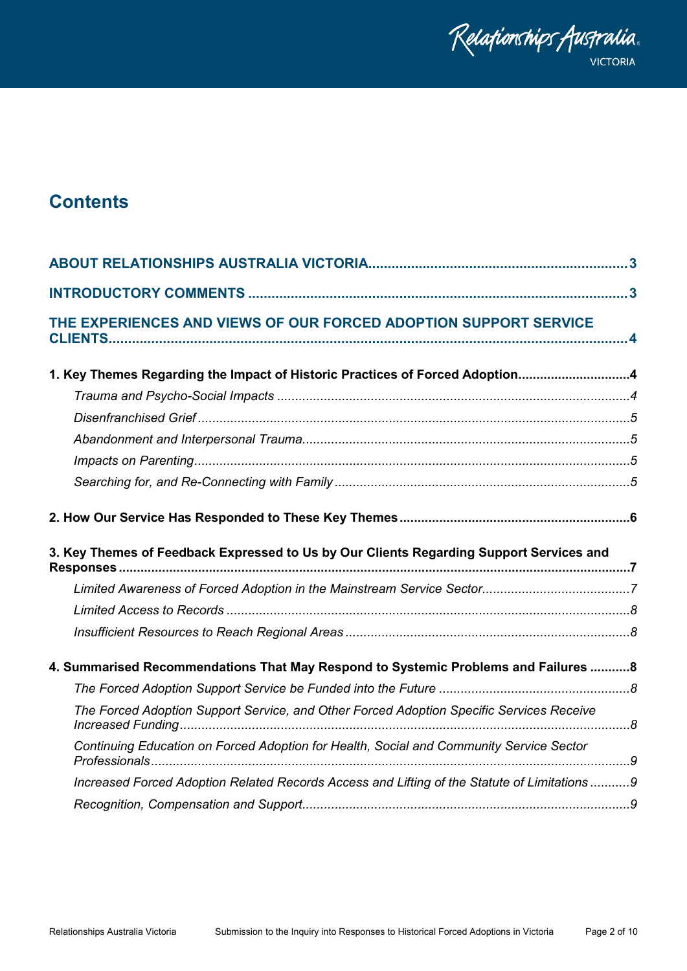

# **Contents**

| THE EXPERIENCES AND VIEWS OF OUR FORCED ADOPTION SUPPORT SERVICE                            |  |
|---------------------------------------------------------------------------------------------|--|
| 1. Key Themes Regarding the Impact of Historic Practices of Forced Adoption4                |  |
|                                                                                             |  |
|                                                                                             |  |
|                                                                                             |  |
|                                                                                             |  |
|                                                                                             |  |
|                                                                                             |  |
| 3. Key Themes of Feedback Expressed to Us by Our Clients Regarding Support Services and     |  |
|                                                                                             |  |
|                                                                                             |  |
|                                                                                             |  |
| 4. Summarised Recommendations That May Respond to Systemic Problems and Failures  8         |  |
|                                                                                             |  |
| The Forced Adoption Support Service, and Other Forced Adoption Specific Services Receive    |  |
| Continuing Education on Forced Adoption for Health, Social and Community Service Sector     |  |
| Increased Forced Adoption Related Records Access and Lifting of the Statute of Limitations9 |  |
|                                                                                             |  |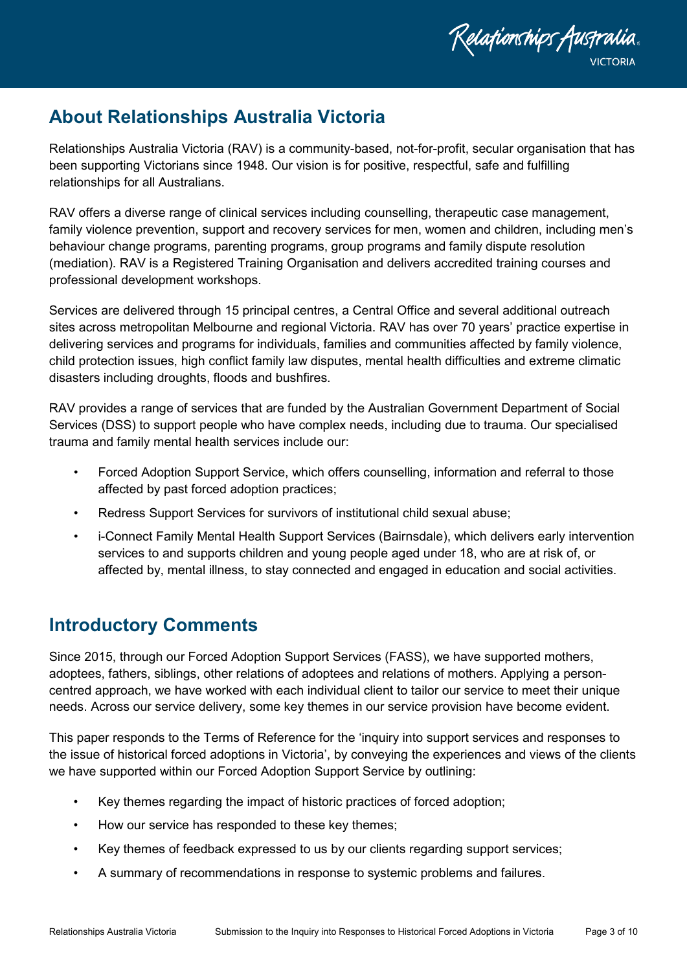

# <span id="page-2-0"></span>**About Relationships Australia Victoria**

Relationships Australia Victoria (RAV) is a community-based, not-for-profit, secular organisation that has been supporting Victorians since 1948. Our vision is for positive, respectful, safe and fulfilling relationships for all Australians.

RAV offers a diverse range of clinical services including counselling, therapeutic case management, family violence prevention, support and recovery services for men, women and children, including men's behaviour change programs, parenting programs, group programs and family dispute resolution (mediation). RAV is a Registered Training Organisation and delivers accredited training courses and professional development workshops.

Services are delivered through 15 principal centres, a Central Office and several additional outreach sites across metropolitan Melbourne and regional Victoria. RAV has over 70 years' practice expertise in delivering services and programs for individuals, families and communities affected by family violence, child protection issues, high conflict family law disputes, mental health difficulties and extreme climatic disasters including droughts, floods and bushfires.

RAV provides a range of services that are funded by the Australian Government Department of Social Services (DSS) to support people who have complex needs, including due to trauma. Our specialised trauma and family mental health services include our:

- Forced Adoption Support Service, which offers counselling, information and referral to those affected by past forced adoption practices;
- Redress Support Services for survivors of institutional child sexual abuse;
- i-Connect Family Mental Health Support Services (Bairnsdale), which delivers early intervention services to and supports children and young people aged under 18, who are at risk of, or affected by, mental illness, to stay connected and engaged in education and social activities.

# <span id="page-2-1"></span>**Introductory Comments**

Since 2015, through our Forced Adoption Support Services (FASS), we have supported mothers, adoptees, fathers, siblings, other relations of adoptees and relations of mothers. Applying a personcentred approach, we have worked with each individual client to tailor our service to meet their unique needs. Across our service delivery, some key themes in our service provision have become evident.

This paper responds to the Terms of Reference for the 'inquiry into support services and responses to the issue of historical forced adoptions in Victoria', by conveying the experiences and views of the clients we have supported within our Forced Adoption Support Service by outlining:

- Key themes regarding the impact of historic practices of forced adoption;
- How our service has responded to these key themes;
- Key themes of feedback expressed to us by our clients regarding support services;
- A summary of recommendations in response to systemic problems and failures.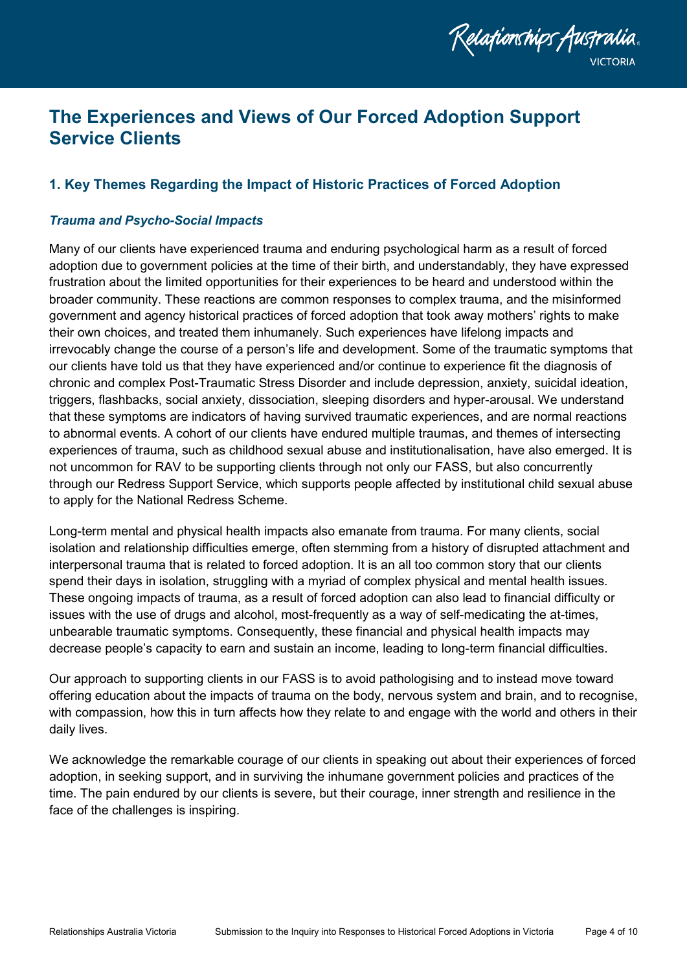

# <span id="page-3-0"></span>**The Experiences and Views of Our Forced Adoption Support Service Clients**

# <span id="page-3-1"></span>**1. Key Themes Regarding the Impact of Historic Practices of Forced Adoption**

# <span id="page-3-2"></span>*Trauma and Psycho-Social Impacts*

Many of our clients have experienced trauma and enduring psychological harm as a result of forced adoption due to government policies at the time of their birth, and understandably, they have expressed frustration about the limited opportunities for their experiences to be heard and understood within the broader community. These reactions are common responses to complex trauma, and the misinformed government and agency historical practices of forced adoption that took away mothers' rights to make their own choices, and treated them inhumanely. Such experiences have lifelong impacts and irrevocably change the course of a person's life and development. Some of the traumatic symptoms that our clients have told us that they have experienced and/or continue to experience fit the diagnosis of chronic and complex Post-Traumatic Stress Disorder and include depression, anxiety, suicidal ideation, triggers, flashbacks, social anxiety, dissociation, sleeping disorders and hyper-arousal. We understand that these symptoms are indicators of having survived traumatic experiences, and are normal reactions to abnormal events. A cohort of our clients have endured multiple traumas, and themes of intersecting experiences of trauma, such as childhood sexual abuse and institutionalisation, have also emerged. It is not uncommon for RAV to be supporting clients through not only our FASS, but also concurrently through our Redress Support Service, which supports people affected by institutional child sexual abuse to apply for the National Redress Scheme.

Long-term mental and physical health impacts also emanate from trauma. For many clients, social isolation and relationship difficulties emerge, often stemming from a history of disrupted attachment and interpersonal trauma that is related to forced adoption. It is an all too common story that our clients spend their days in isolation, struggling with a myriad of complex physical and mental health issues. These ongoing impacts of trauma, as a result of forced adoption can also lead to financial difficulty or issues with the use of drugs and alcohol, most-frequently as a way of self-medicating the at-times, unbearable traumatic symptoms. Consequently, these financial and physical health impacts may decrease people's capacity to earn and sustain an income, leading to long-term financial difficulties.

Our approach to supporting clients in our FASS is to avoid pathologising and to instead move toward offering education about the impacts of trauma on the body, nervous system and brain, and to recognise, with compassion, how this in turn affects how they relate to and engage with the world and others in their daily lives.

We acknowledge the remarkable courage of our clients in speaking out about their experiences of forced adoption, in seeking support, and in surviving the inhumane government policies and practices of the time. The pain endured by our clients is severe, but their courage, inner strength and resilience in the face of the challenges is inspiring.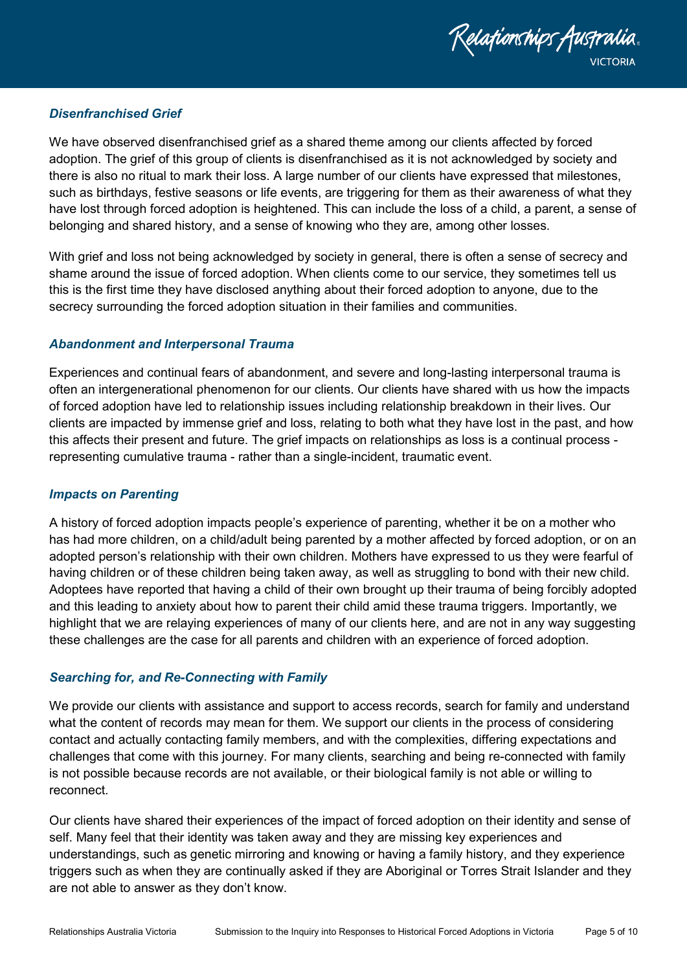

# <span id="page-4-0"></span>*Disenfranchised Grief*

We have observed disenfranchised grief as a shared theme among our clients affected by forced adoption. The grief of this group of clients is disenfranchised as it is not acknowledged by society and there is also no ritual to mark their loss. A large number of our clients have expressed that milestones, such as birthdays, festive seasons or life events, are triggering for them as their awareness of what they have lost through forced adoption is heightened. This can include the loss of a child, a parent, a sense of belonging and shared history, and a sense of knowing who they are, among other losses.

With grief and loss not being acknowledged by society in general, there is often a sense of secrecy and shame around the issue of forced adoption. When clients come to our service, they sometimes tell us this is the first time they have disclosed anything about their forced adoption to anyone, due to the secrecy surrounding the forced adoption situation in their families and communities.

## <span id="page-4-1"></span>*Abandonment and Interpersonal Trauma*

Experiences and continual fears of abandonment, and severe and long-lasting interpersonal trauma is often an intergenerational phenomenon for our clients. Our clients have shared with us how the impacts of forced adoption have led to relationship issues including relationship breakdown in their lives. Our clients are impacted by immense grief and loss, relating to both what they have lost in the past, and how this affects their present and future. The grief impacts on relationships as loss is a continual process representing cumulative trauma - rather than a single-incident, traumatic event.

## <span id="page-4-2"></span>*Impacts on Parenting*

A history of forced adoption impacts people's experience of parenting, whether it be on a mother who has had more children, on a child/adult being parented by a mother affected by forced adoption, or on an adopted person's relationship with their own children. Mothers have expressed to us they were fearful of having children or of these children being taken away, as well as struggling to bond with their new child. Adoptees have reported that having a child of their own brought up their trauma of being forcibly adopted and this leading to anxiety about how to parent their child amid these trauma triggers. Importantly, we highlight that we are relaying experiences of many of our clients here, and are not in any way suggesting these challenges are the case for all parents and children with an experience of forced adoption.

## <span id="page-4-3"></span>*Searching for, and Re-Connecting with Family*

We provide our clients with assistance and support to access records, search for family and understand what the content of records may mean for them. We support our clients in the process of considering contact and actually contacting family members, and with the complexities, differing expectations and challenges that come with this journey. For many clients, searching and being re-connected with family is not possible because records are not available, or their biological family is not able or willing to reconnect.

Our clients have shared their experiences of the impact of forced adoption on their identity and sense of self. Many feel that their identity was taken away and they are missing key experiences and understandings, such as genetic mirroring and knowing or having a family history, and they experience triggers such as when they are continually asked if they are Aboriginal or Torres Strait Islander and they are not able to answer as they don't know.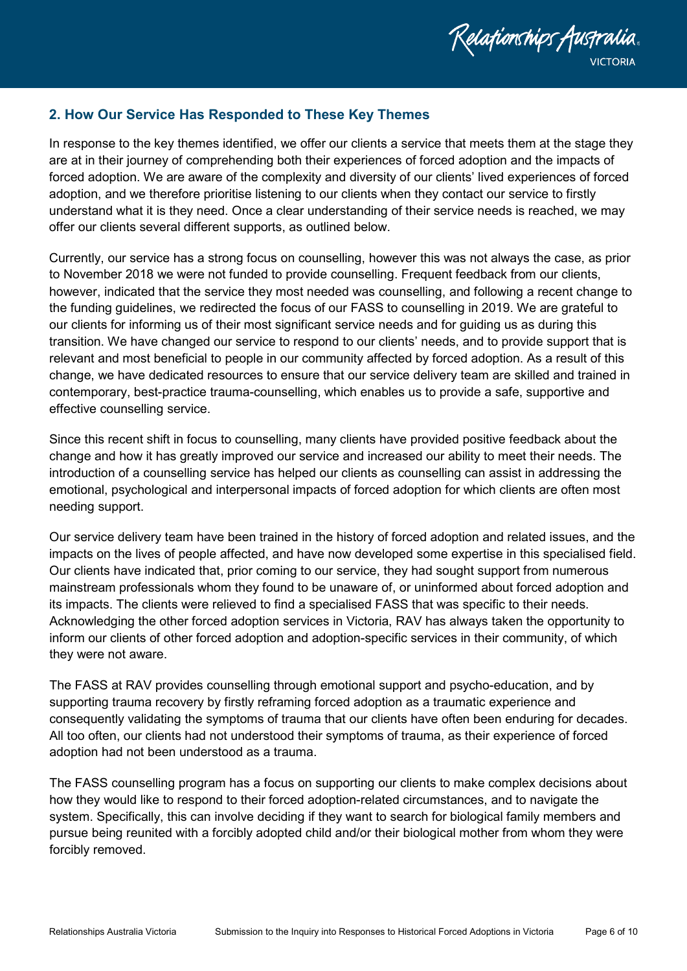

# <span id="page-5-0"></span>**2. How Our Service Has Responded to These Key Themes**

In response to the key themes identified, we offer our clients a service that meets them at the stage they are at in their journey of comprehending both their experiences of forced adoption and the impacts of forced adoption. We are aware of the complexity and diversity of our clients' lived experiences of forced adoption, and we therefore prioritise listening to our clients when they contact our service to firstly understand what it is they need. Once a clear understanding of their service needs is reached, we may offer our clients several different supports, as outlined below.

Currently, our service has a strong focus on counselling, however this was not always the case, as prior to November 2018 we were not funded to provide counselling. Frequent feedback from our clients, however, indicated that the service they most needed was counselling, and following a recent change to the funding guidelines, we redirected the focus of our FASS to counselling in 2019. We are grateful to our clients for informing us of their most significant service needs and for guiding us as during this transition. We have changed our service to respond to our clients' needs, and to provide support that is relevant and most beneficial to people in our community affected by forced adoption. As a result of this change, we have dedicated resources to ensure that our service delivery team are skilled and trained in contemporary, best-practice trauma-counselling, which enables us to provide a safe, supportive and effective counselling service.

Since this recent shift in focus to counselling, many clients have provided positive feedback about the change and how it has greatly improved our service and increased our ability to meet their needs. The introduction of a counselling service has helped our clients as counselling can assist in addressing the emotional, psychological and interpersonal impacts of forced adoption for which clients are often most needing support.

Our service delivery team have been trained in the history of forced adoption and related issues, and the impacts on the lives of people affected, and have now developed some expertise in this specialised field. Our clients have indicated that, prior coming to our service, they had sought support from numerous mainstream professionals whom they found to be unaware of, or uninformed about forced adoption and its impacts. The clients were relieved to find a specialised FASS that was specific to their needs. Acknowledging the other forced adoption services in Victoria, RAV has always taken the opportunity to inform our clients of other forced adoption and adoption-specific services in their community, of which they were not aware.

The FASS at RAV provides counselling through emotional support and psycho-education, and by supporting trauma recovery by firstly reframing forced adoption as a traumatic experience and consequently validating the symptoms of trauma that our clients have often been enduring for decades. All too often, our clients had not understood their symptoms of trauma, as their experience of forced adoption had not been understood as a trauma.

The FASS counselling program has a focus on supporting our clients to make complex decisions about how they would like to respond to their forced adoption-related circumstances, and to navigate the system. Specifically, this can involve deciding if they want to search for biological family members and pursue being reunited with a forcibly adopted child and/or their biological mother from whom they were forcibly removed.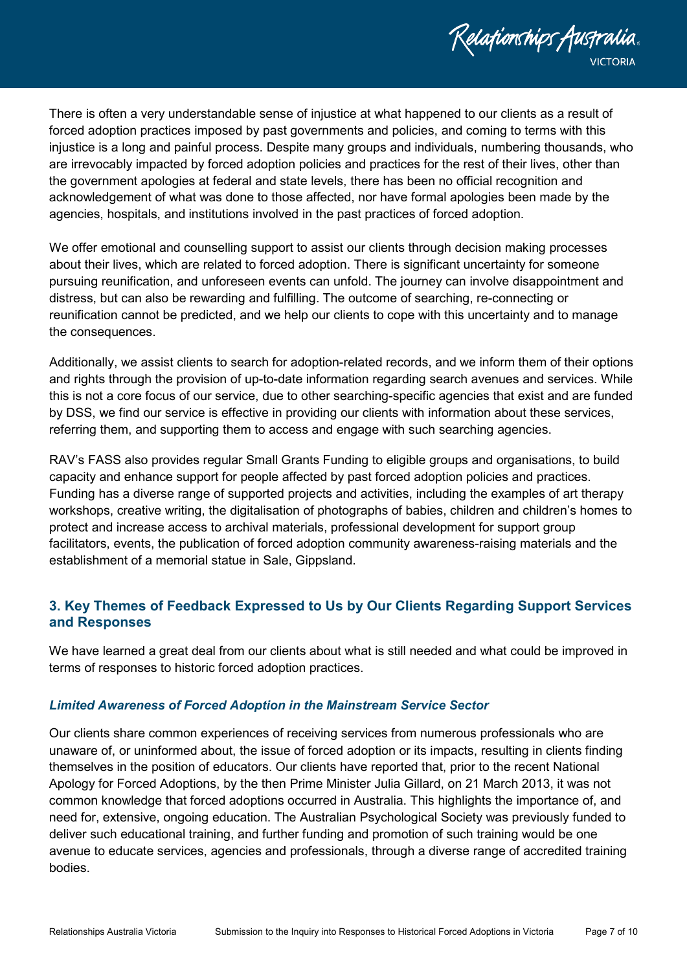

There is often a very understandable sense of injustice at what happened to our clients as a result of forced adoption practices imposed by past governments and policies, and coming to terms with this injustice is a long and painful process. Despite many groups and individuals, numbering thousands, who are irrevocably impacted by forced adoption policies and practices for the rest of their lives, other than the government apologies at federal and state levels, there has been no official recognition and acknowledgement of what was done to those affected, nor have formal apologies been made by the agencies, hospitals, and institutions involved in the past practices of forced adoption.

We offer emotional and counselling support to assist our clients through decision making processes about their lives, which are related to forced adoption. There is significant uncertainty for someone pursuing reunification, and unforeseen events can unfold. The journey can involve disappointment and distress, but can also be rewarding and fulfilling. The outcome of searching, re-connecting or reunification cannot be predicted, and we help our clients to cope with this uncertainty and to manage the consequences.

Additionally, we assist clients to search for adoption-related records, and we inform them of their options and rights through the provision of up-to-date information regarding search avenues and services. While this is not a core focus of our service, due to other searching-specific agencies that exist and are funded by DSS, we find our service is effective in providing our clients with information about these services, referring them, and supporting them to access and engage with such searching agencies.

RAV's FASS also provides regular Small Grants Funding to eligible groups and organisations, to build capacity and enhance support for people affected by past forced adoption policies and practices. Funding has a diverse range of supported projects and activities, including the examples of art therapy workshops, creative writing, the digitalisation of photographs of babies, children and children's homes to protect and increase access to archival materials, professional development for support group facilitators, events, the publication of forced adoption community awareness-raising materials and the establishment of a memorial statue in Sale, Gippsland.

# <span id="page-6-0"></span>**3. Key Themes of Feedback Expressed to Us by Our Clients Regarding Support Services and Responses**

We have learned a great deal from our clients about what is still needed and what could be improved in terms of responses to historic forced adoption practices.

## <span id="page-6-1"></span>*Limited Awareness of Forced Adoption in the Mainstream Service Sector*

Our clients share common experiences of receiving services from numerous professionals who are unaware of, or uninformed about, the issue of forced adoption or its impacts, resulting in clients finding themselves in the position of educators. Our clients have reported that, prior to the recent National Apology for Forced Adoptions, by the then Prime Minister Julia Gillard, on 21 March 2013, it was not common knowledge that forced adoptions occurred in Australia. This highlights the importance of, and need for, extensive, ongoing education. The Australian Psychological Society was previously funded to deliver such educational training, and further funding and promotion of such training would be one avenue to educate services, agencies and professionals, through a diverse range of accredited training bodies.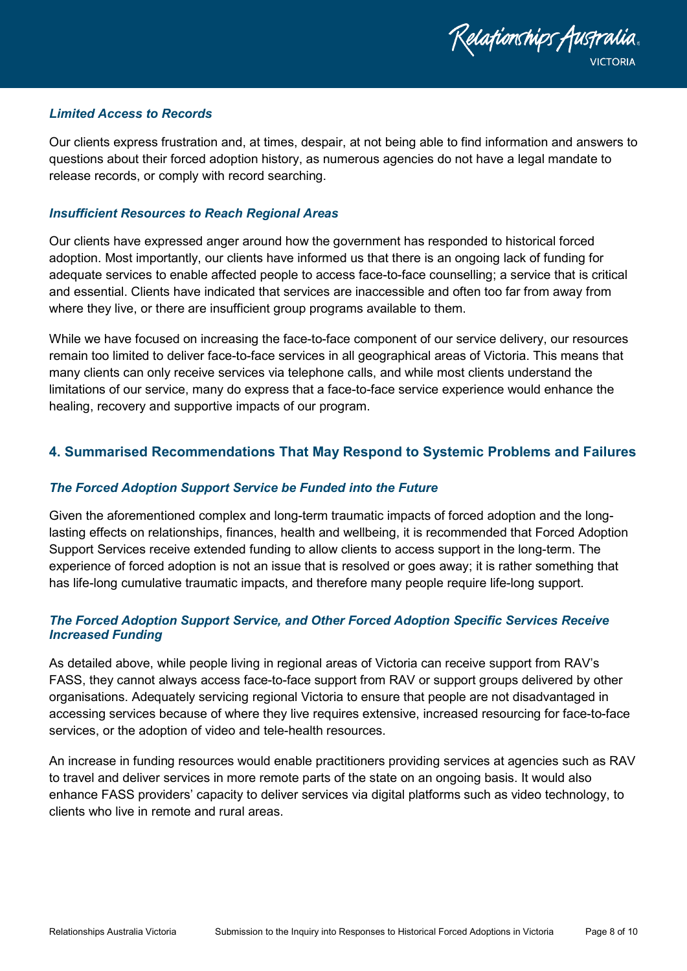

### <span id="page-7-0"></span>*Limited Access to Records*

Our clients express frustration and, at times, despair, at not being able to find information and answers to questions about their forced adoption history, as numerous agencies do not have a legal mandate to release records, or comply with record searching.

### <span id="page-7-1"></span>*Insufficient Resources to Reach Regional Areas*

Our clients have expressed anger around how the government has responded to historical forced adoption. Most importantly, our clients have informed us that there is an ongoing lack of funding for adequate services to enable affected people to access face-to-face counselling; a service that is critical and essential. Clients have indicated that services are inaccessible and often too far from away from where they live, or there are insufficient group programs available to them.

While we have focused on increasing the face-to-face component of our service delivery, our resources remain too limited to deliver face-to-face services in all geographical areas of Victoria. This means that many clients can only receive services via telephone calls, and while most clients understand the limitations of our service, many do express that a face-to-face service experience would enhance the healing, recovery and supportive impacts of our program.

# <span id="page-7-2"></span>**4. Summarised Recommendations That May Respond to Systemic Problems and Failures**

#### <span id="page-7-3"></span>*The Forced Adoption Support Service be Funded into the Future*

Given the aforementioned complex and long-term traumatic impacts of forced adoption and the longlasting effects on relationships, finances, health and wellbeing, it is recommended that Forced Adoption Support Services receive extended funding to allow clients to access support in the long-term. The experience of forced adoption is not an issue that is resolved or goes away; it is rather something that has life-long cumulative traumatic impacts, and therefore many people require life-long support.

## <span id="page-7-4"></span>*The Forced Adoption Support Service, and Other Forced Adoption Specific Services Receive Increased Funding*

As detailed above, while people living in regional areas of Victoria can receive support from RAV's FASS, they cannot always access face-to-face support from RAV or support groups delivered by other organisations. Adequately servicing regional Victoria to ensure that people are not disadvantaged in accessing services because of where they live requires extensive, increased resourcing for face-to-face services, or the adoption of video and tele-health resources.

An increase in funding resources would enable practitioners providing services at agencies such as RAV to travel and deliver services in more remote parts of the state on an ongoing basis. It would also enhance FASS providers' capacity to deliver services via digital platforms such as video technology, to clients who live in remote and rural areas.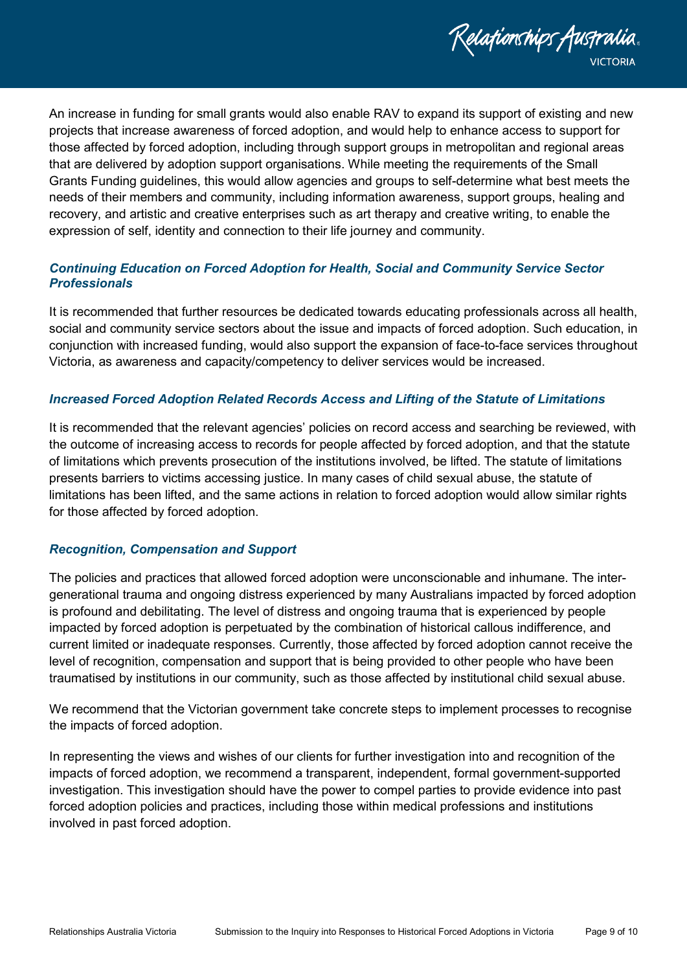

An increase in funding for small grants would also enable RAV to expand its support of existing and new projects that increase awareness of forced adoption, and would help to enhance access to support for those affected by forced adoption, including through support groups in metropolitan and regional areas that are delivered by adoption support organisations. While meeting the requirements of the Small Grants Funding guidelines, this would allow agencies and groups to self-determine what best meets the needs of their members and community, including information awareness, support groups, healing and recovery, and artistic and creative enterprises such as art therapy and creative writing, to enable the expression of self, identity and connection to their life journey and community.

## <span id="page-8-0"></span>*Continuing Education on Forced Adoption for Health, Social and Community Service Sector Professionals*

It is recommended that further resources be dedicated towards educating professionals across all health, social and community service sectors about the issue and impacts of forced adoption. Such education, in conjunction with increased funding, would also support the expansion of face-to-face services throughout Victoria, as awareness and capacity/competency to deliver services would be increased.

### <span id="page-8-1"></span>*Increased Forced Adoption Related Records Access and Lifting of the Statute of Limitations*

It is recommended that the relevant agencies' policies on record access and searching be reviewed, with the outcome of increasing access to records for people affected by forced adoption, and that the statute of limitations which prevents prosecution of the institutions involved, be lifted. The statute of limitations presents barriers to victims accessing justice. In many cases of child sexual abuse, the statute of limitations has been lifted, and the same actions in relation to forced adoption would allow similar rights for those affected by forced adoption.

## <span id="page-8-2"></span>*Recognition, Compensation and Support*

The policies and practices that allowed forced adoption were unconscionable and inhumane. The intergenerational trauma and ongoing distress experienced by many Australians impacted by forced adoption is profound and debilitating. The level of distress and ongoing trauma that is experienced by people impacted by forced adoption is perpetuated by the combination of historical callous indifference, and current limited or inadequate responses. Currently, those affected by forced adoption cannot receive the level of recognition, compensation and support that is being provided to other people who have been traumatised by institutions in our community, such as those affected by institutional child sexual abuse.

We recommend that the Victorian government take concrete steps to implement processes to recognise the impacts of forced adoption.

In representing the views and wishes of our clients for further investigation into and recognition of the impacts of forced adoption, we recommend a transparent, independent, formal government-supported investigation. This investigation should have the power to compel parties to provide evidence into past forced adoption policies and practices, including those within medical professions and institutions involved in past forced adoption.